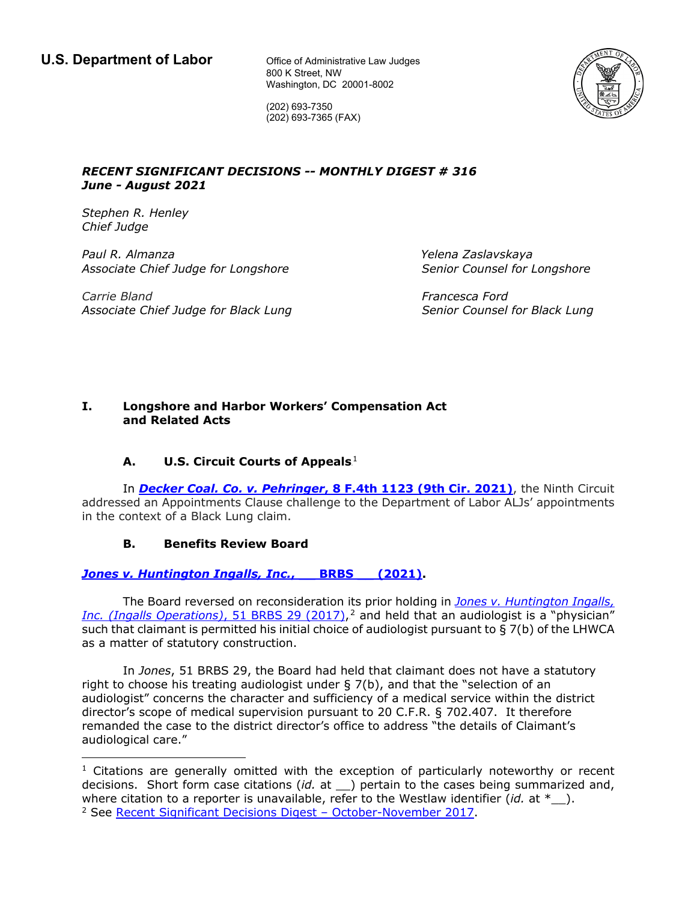800 K Street, NW Washington, DC 20001-8002



(202) 693-7350 (202) 693-7365 (FAX)

### *RECENT SIGNIFICANT DECISIONS -- MONTHLY DIGEST # 316 June - August 2021*

*Stephen R. Henley Chief Judge*

*Paul R. Almanza Yelena Zaslavskaya Associate Chief Judge for Longshore Senior Counsel for Longshore*

*Carrie Bland Francesca Ford Associate Chief Judge for Black Lung Senior Counsel for Black Lung*

## **I. Longshore and Harbor Workers' Compensation Act and Related Acts**

# **A.** U.S. Circuit Courts of Appeals<sup>1</sup>

In *Decker Coal. Co. v. Pehringer***[, 8 F.4th 1123 \(9th Cir. 2021\)](http://cdn.ca9.uscourts.gov/datastore/opinions/2021/08/16/20-71449.pdf)**, the Ninth Circuit addressed an Appointments Clause challenge to the Department of Labor ALJs' appointments in the context of a Black Lung claim.

# **B. Benefits Review Board**

## *[Jones v. Huntington Ingalls, Inc.](https://www.dol.gov/sites/dolgov/files/BRB/decisions/lngshore/published/16-0690R.pdf)*, BRBS (2021).

The Board reversed on reconsideration its prior holding in *[Jones v. Huntington Ingalls,](https://www.dol.gov/sites/dolgov/files/brb/decisions/lngshore/published/16-0690.pdf)*  [Inc. \(Ingalls Operations\)](https://www.dol.gov/sites/dolgov/files/brb/decisions/lngshore/published/16-0690.pdf), 51 BRBS 29 (2017),<sup>2</sup> and held that an audiologist is a "physician" such that claimant is permitted his initial choice of audiologist pursuant to § 7(b) of the LHWCA as a matter of statutory construction.

In *Jones*, 51 BRBS 29, the Board had held that claimant does not have a statutory right to choose his treating audiologist under § 7(b), and that the "selection of an audiologist" concerns the character and sufficiency of a medical service within the district director's scope of medical supervision pursuant to 20 C.F.R. § 702.407. It therefore remanded the case to the district director's office to address "the details of Claimant's audiological care."

 $<sup>1</sup>$  Citations are generally omitted with the exception of particularly noteworthy or recent</sup> decisions. Short form case citations (*id.* at \_\_) pertain to the cases being summarized and, where citation to a reporter is unavailable, refer to the Westlaw identifier  $(id.$  at  $*$ ). <sup>2</sup> See [Recent Significant Decisions Digest – October-November 2017.](https://www.dol.gov/sites/dolgov/files/oalj/PUBLIC/LONGSHORE/REFERENCES/REFERENCE_WORKS/LSNW102017.PDF?_ga=2.7610034.1637160301.1632923391-1904418754.1632923391)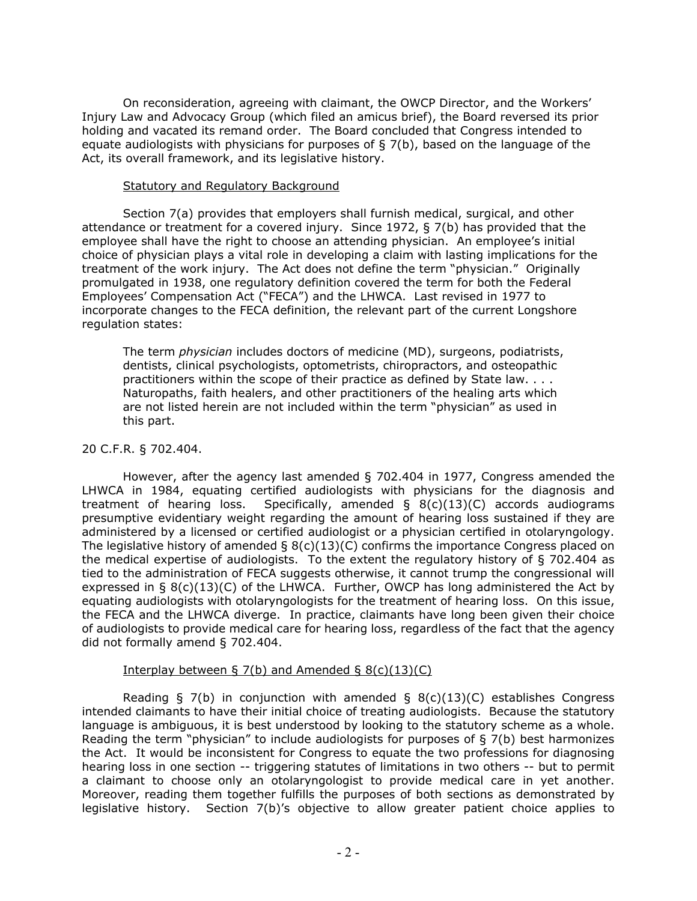On reconsideration, agreeing with claimant, the OWCP Director, and the Workers' Injury Law and Advocacy Group (which filed an amicus brief), the Board reversed its prior holding and vacated its remand order. The Board concluded that Congress intended to equate audiologists with physicians for purposes of  $\S$  7(b), based on the language of the Act, its overall framework, and its legislative history.

#### Statutory and Regulatory Background

Section 7(a) provides that employers shall furnish medical, surgical, and other attendance or treatment for a covered injury. Since 1972, § 7(b) has provided that the employee shall have the right to choose an attending physician. An employee's initial choice of physician plays a vital role in developing a claim with lasting implications for the treatment of the work injury. The Act does not define the term "physician." Originally promulgated in 1938, one regulatory definition covered the term for both the Federal Employees' Compensation Act ("FECA") and the LHWCA. Last revised in 1977 to incorporate changes to the FECA definition, the relevant part of the current Longshore regulation states:

The term *physician* includes doctors of medicine (MD), surgeons, podiatrists, dentists, clinical psychologists, optometrists, chiropractors, and osteopathic practitioners within the scope of their practice as defined by State law. . . . Naturopaths, faith healers, and other practitioners of the healing arts which are not listed herein are not included within the term "physician" as used in this part.

### 20 C.F.R. § 702.404.

However, after the agency last amended § 702.404 in 1977, Congress amended the LHWCA in 1984, equating certified audiologists with physicians for the diagnosis and treatment of hearing loss. Specifically, amended  $\S$  8(c)(13)(C) accords audiograms presumptive evidentiary weight regarding the amount of hearing loss sustained if they are administered by a licensed or certified audiologist or a physician certified in otolaryngology. The legislative history of amended  $\S$  8(c)(13)(C) confirms the importance Congress placed on the medical expertise of audiologists. To the extent the regulatory history of § 702.404 as tied to the administration of FECA suggests otherwise, it cannot trump the congressional will expressed in  $\S 8(c)(13)(C)$  of the LHWCA. Further, OWCP has long administered the Act by equating audiologists with otolaryngologists for the treatment of hearing loss. On this issue, the FECA and the LHWCA diverge. In practice, claimants have long been given their choice of audiologists to provide medical care for hearing loss, regardless of the fact that the agency did not formally amend § 702.404.

### Interplay between  $\S$  7(b) and Amended  $\S$  8(c)(13)(C)

Reading § 7(b) in conjunction with amended §  $8(c)(13)(C)$  establishes Congress intended claimants to have their initial choice of treating audiologists. Because the statutory language is ambiguous, it is best understood by looking to the statutory scheme as a whole. Reading the term "physician" to include audiologists for purposes of § 7(b) best harmonizes the Act. It would be inconsistent for Congress to equate the two professions for diagnosing hearing loss in one section -- triggering statutes of limitations in two others -- but to permit a claimant to choose only an otolaryngologist to provide medical care in yet another. Moreover, reading them together fulfills the purposes of both sections as demonstrated by legislative history. Section 7(b)'s objective to allow greater patient choice applies to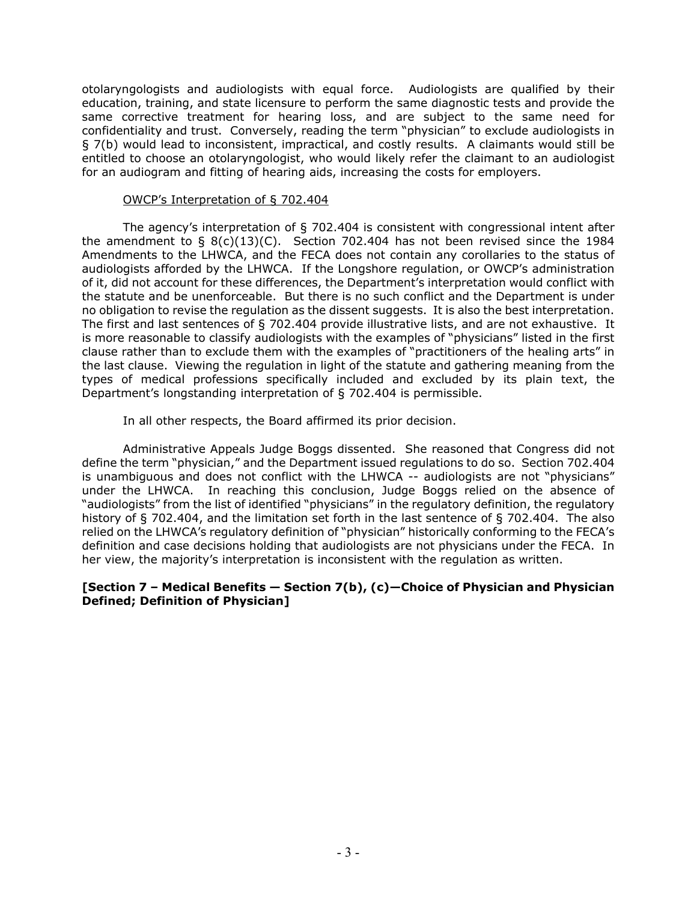otolaryngologists and audiologists with equal force. Audiologists are qualified by their education, training, and state licensure to perform the same diagnostic tests and provide the same corrective treatment for hearing loss, and are subject to the same need for confidentiality and trust. Conversely, reading the term "physician" to exclude audiologists in § 7(b) would lead to inconsistent, impractical, and costly results. A claimants would still be entitled to choose an otolaryngologist, who would likely refer the claimant to an audiologist for an audiogram and fitting of hearing aids, increasing the costs for employers.

### OWCP's Interpretation of § 702.404

The agency's interpretation of § 702.404 is consistent with congressional intent after the amendment to  $\S$  8(c)(13)(C). Section 702.404 has not been revised since the 1984 Amendments to the LHWCA, and the FECA does not contain any corollaries to the status of audiologists afforded by the LHWCA. If the Longshore regulation, or OWCP's administration of it, did not account for these differences, the Department's interpretation would conflict with the statute and be unenforceable. But there is no such conflict and the Department is under no obligation to revise the regulation as the dissent suggests. It is also the best interpretation. The first and last sentences of § 702.404 provide illustrative lists, and are not exhaustive. It is more reasonable to classify audiologists with the examples of "physicians" listed in the first clause rather than to exclude them with the examples of "practitioners of the healing arts" in the last clause. Viewing the regulation in light of the statute and gathering meaning from the types of medical professions specifically included and excluded by its plain text, the Department's longstanding interpretation of § 702.404 is permissible.

In all other respects, the Board affirmed its prior decision.

Administrative Appeals Judge Boggs dissented. She reasoned that Congress did not define the term "physician," and the Department issued regulations to do so. Section 702.404 is unambiguous and does not conflict with the LHWCA -- audiologists are not "physicians" under the LHWCA. In reaching this conclusion, Judge Boggs relied on the absence of "audiologists" from the list of identified "physicians" in the regulatory definition, the regulatory history of § 702.404, and the limitation set forth in the last sentence of § 702.404. The also relied on the LHWCA's regulatory definition of "physician" historically conforming to the FECA's definition and case decisions holding that audiologists are not physicians under the FECA. In her view, the majority's interpretation is inconsistent with the regulation as written.

### **[Section 7 – Medical Benefits — Section 7(b), (c)—Choice of Physician and Physician Defined; Definition of Physician]**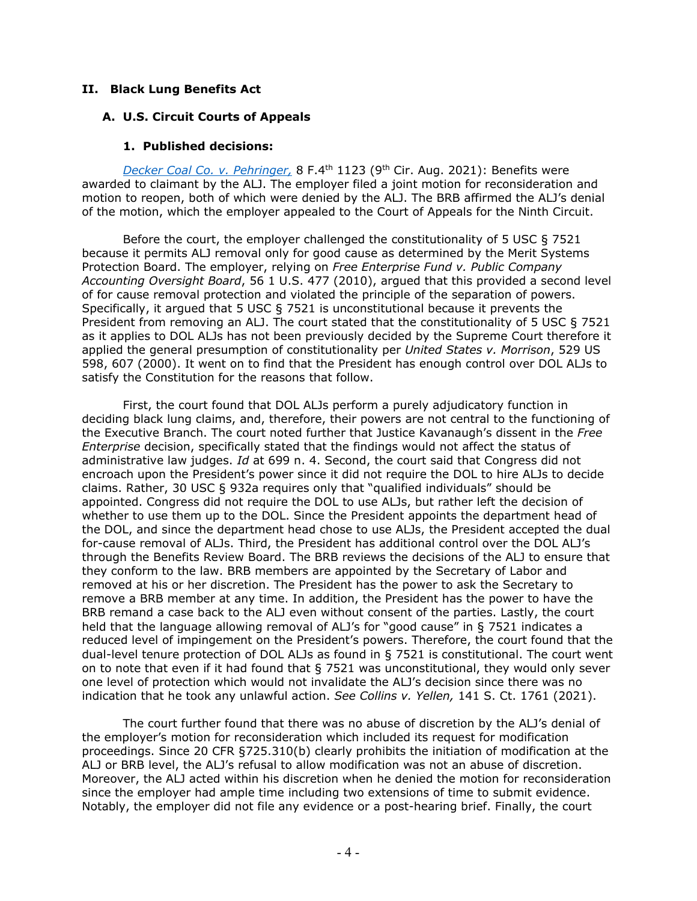### **II. Black Lung Benefits Act**

### **A. U.S. Circuit Courts of Appeals**

### **1. Published decisions:**

*[Decker Coal Co. v. Pehringer,](http://cdn.ca9.uscourts.gov/datastore/opinions/2021/08/16/20-71449.pdf)* 8 F.4th 1123 (9th Cir. Aug. 2021): Benefits were awarded to claimant by the ALJ. The employer filed a joint motion for reconsideration and motion to reopen, both of which were denied by the ALJ. The BRB affirmed the ALJ's denial of the motion, which the employer appealed to the Court of Appeals for the Ninth Circuit.

Before the court, the employer challenged the constitutionality of 5 USC § 7521 because it permits ALJ removal only for good cause as determined by the Merit Systems Protection Board. The employer, relying on *Free Enterprise Fund v. Public Company Accounting Oversight Board*, 56 1 U.S. 477 (2010), argued that this provided a second level of for cause removal protection and violated the principle of the separation of powers. Specifically, it argued that 5 USC § 7521 is unconstitutional because it prevents the President from removing an ALJ. The court stated that the constitutionality of 5 USC § 7521 as it applies to DOL ALJs has not been previously decided by the Supreme Court therefore it applied the general presumption of constitutionality per *United States v. Morrison*, 529 US 598, 607 (2000). It went on to find that the President has enough control over DOL ALJs to satisfy the Constitution for the reasons that follow.

First, the court found that DOL ALJs perform a purely adjudicatory function in deciding black lung claims, and, therefore, their powers are not central to the functioning of the Executive Branch. The court noted further that Justice Kavanaugh's dissent in the *Free Enterprise* decision, specifically stated that the findings would not affect the status of administrative law judges. *Id* at 699 n. 4. Second, the court said that Congress did not encroach upon the President's power since it did not require the DOL to hire ALJs to decide claims. Rather, 30 USC § 932a requires only that "qualified individuals" should be appointed. Congress did not require the DOL to use ALJs, but rather left the decision of whether to use them up to the DOL. Since the President appoints the department head of the DOL, and since the department head chose to use ALJs, the President accepted the dual for-cause removal of ALJs. Third, the President has additional control over the DOL ALJ's through the Benefits Review Board. The BRB reviews the decisions of the ALJ to ensure that they conform to the law. BRB members are appointed by the Secretary of Labor and removed at his or her discretion. The President has the power to ask the Secretary to remove a BRB member at any time. In addition, the President has the power to have the BRB remand a case back to the ALJ even without consent of the parties. Lastly, the court held that the language allowing removal of ALJ's for "good cause" in § 7521 indicates a reduced level of impingement on the President's powers. Therefore, the court found that the dual-level tenure protection of DOL ALJs as found in § 7521 is constitutional. The court went on to note that even if it had found that § 7521 was unconstitutional, they would only sever one level of protection which would not invalidate the ALJ's decision since there was no indication that he took any unlawful action. *See Collins v. Yellen,* 141 S. Ct. 1761 (2021).

The court further found that there was no abuse of discretion by the ALJ's denial of the employer's motion for reconsideration which included its request for modification proceedings. Since 20 CFR §725.310(b) clearly prohibits the initiation of modification at the ALJ or BRB level, the ALJ's refusal to allow modification was not an abuse of discretion. Moreover, the ALJ acted within his discretion when he denied the motion for reconsideration since the employer had ample time including two extensions of time to submit evidence. Notably, the employer did not file any evidence or a post-hearing brief. Finally, the court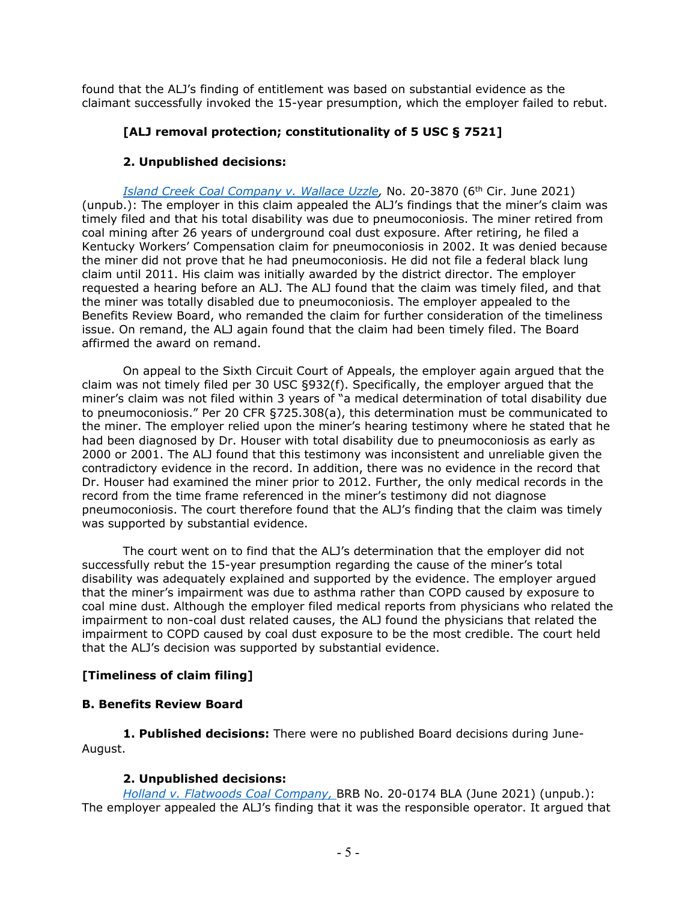found that the ALJ's finding of entitlement was based on substantial evidence as the claimant successfully invoked the 15-year presumption, which the employer failed to rebut.

# **[ALJ removal protection; constitutionality of 5 USC § 7521]**

## **2. Unpublished decisions:**

*[Island Creek Coal Company v. Wallace Uzzle,](https://www.opn.ca6.uscourts.gov/opinions.pdf/21a0274n-06.pdf)* No. 20-3870 (6th Cir. June 2021) (unpub.): The employer in this claim appealed the ALJ's findings that the miner's claim was timely filed and that his total disability was due to pneumoconiosis. The miner retired from coal mining after 26 years of underground coal dust exposure. After retiring, he filed a Kentucky Workers' Compensation claim for pneumoconiosis in 2002. It was denied because the miner did not prove that he had pneumoconiosis. He did not file a federal black lung claim until 2011. His claim was initially awarded by the district director. The employer requested a hearing before an ALJ. The ALJ found that the claim was timely filed, and that the miner was totally disabled due to pneumoconiosis. The employer appealed to the Benefits Review Board, who remanded the claim for further consideration of the timeliness issue. On remand, the ALJ again found that the claim had been timely filed. The Board affirmed the award on remand.

On appeal to the Sixth Circuit Court of Appeals, the employer again argued that the claim was not timely filed per 30 USC §932(f). Specifically, the employer argued that the miner's claim was not filed within 3 years of "a medical determination of total disability due to pneumoconiosis." Per 20 CFR §725.308(a), this determination must be communicated to the miner. The employer relied upon the miner's hearing testimony where he stated that he had been diagnosed by Dr. Houser with total disability due to pneumoconiosis as early as 2000 or 2001. The ALJ found that this testimony was inconsistent and unreliable given the contradictory evidence in the record. In addition, there was no evidence in the record that Dr. Houser had examined the miner prior to 2012. Further, the only medical records in the record from the time frame referenced in the miner's testimony did not diagnose pneumoconiosis. The court therefore found that the ALJ's finding that the claim was timely was supported by substantial evidence.

The court went on to find that the ALJ's determination that the employer did not successfully rebut the 15-year presumption regarding the cause of the miner's total disability was adequately explained and supported by the evidence. The employer argued that the miner's impairment was due to asthma rather than COPD caused by exposure to coal mine dust. Although the employer filed medical reports from physicians who related the impairment to non-coal dust related causes, the ALJ found the physicians that related the impairment to COPD caused by coal dust exposure to be the most credible. The court held that the ALJ's decision was supported by substantial evidence.

# **[Timeliness of claim filing]**

## **B. Benefits Review Board**

 **1. Published decisions:** There were no published Board decisions during June-August.

## **2. Unpublished decisions:**

*Holland v. [Flatwoods Coal Company,](https://www.dol.gov/sites/dolgov/files/BRB/decisions/blklung/unpublished/Jun21/20-0174.pdf)* BRB No. 20-0174 BLA (June 2021) (unpub.): The employer appealed the ALJ's finding that it was the responsible operator. It argued that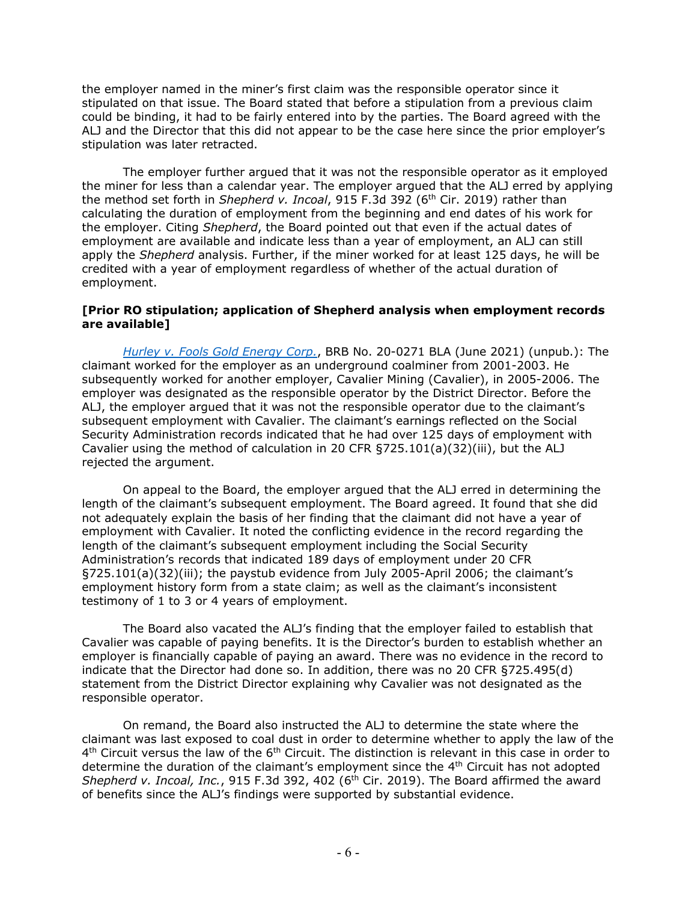the employer named in the miner's first claim was the responsible operator since it stipulated on that issue. The Board stated that before a stipulation from a previous claim could be binding, it had to be fairly entered into by the parties. The Board agreed with the ALJ and the Director that this did not appear to be the case here since the prior employer's stipulation was later retracted.

The employer further argued that it was not the responsible operator as it employed the miner for less than a calendar year. The employer argued that the ALJ erred by applying the method set forth in *Shepherd v. Incoal*, 915 F.3d 392 (6<sup>th</sup> Cir. 2019) rather than calculating the duration of employment from the beginning and end dates of his work for the employer. Citing *Shepherd*, the Board pointed out that even if the actual dates of employment are available and indicate less than a year of employment, an ALJ can still apply the *Shepherd* analysis. Further, if the miner worked for at least 125 days, he will be credited with a year of employment regardless of whether of the actual duration of employment.

### **[Prior RO stipulation; application of Shepherd analysis when employment records are available]**

*[Hurley v. Fools Gold Energy Corp.](https://www.dol.gov/sites/dolgov/files/BRB/decisions/blklung/unpublished/Jun21/20-0271.pdf)*, BRB No. 20-0271 BLA (June 2021) (unpub.): The claimant worked for the employer as an underground coalminer from 2001-2003. He subsequently worked for another employer, Cavalier Mining (Cavalier), in 2005-2006. The employer was designated as the responsible operator by the District Director. Before the ALJ, the employer argued that it was not the responsible operator due to the claimant's subsequent employment with Cavalier. The claimant's earnings reflected on the Social Security Administration records indicated that he had over 125 days of employment with Cavalier using the method of calculation in 20 CFR §725.101(a)(32)(iii), but the ALJ rejected the argument.

On appeal to the Board, the employer argued that the ALJ erred in determining the length of the claimant's subsequent employment. The Board agreed. It found that she did not adequately explain the basis of her finding that the claimant did not have a year of employment with Cavalier. It noted the conflicting evidence in the record regarding the length of the claimant's subsequent employment including the Social Security Administration's records that indicated 189 days of employment under 20 CFR §725.101(a)(32)(iii); the paystub evidence from July 2005-April 2006; the claimant's employment history form from a state claim; as well as the claimant's inconsistent testimony of 1 to 3 or 4 years of employment.

The Board also vacated the ALJ's finding that the employer failed to establish that Cavalier was capable of paying benefits. It is the Director's burden to establish whether an employer is financially capable of paying an award. There was no evidence in the record to indicate that the Director had done so. In addition, there was no 20 CFR §725.495(d) statement from the District Director explaining why Cavalier was not designated as the responsible operator.

On remand, the Board also instructed the ALJ to determine the state where the claimant was last exposed to coal dust in order to determine whether to apply the law of the  $4<sup>th</sup>$  Circuit versus the law of the  $6<sup>th</sup>$  Circuit. The distinction is relevant in this case in order to determine the duration of the claimant's employment since the 4th Circuit has not adopted Shepherd v. Incoal, Inc., 915 F.3d 392, 402 (6<sup>th</sup> Cir. 2019). The Board affirmed the award of benefits since the ALJ's findings were supported by substantial evidence.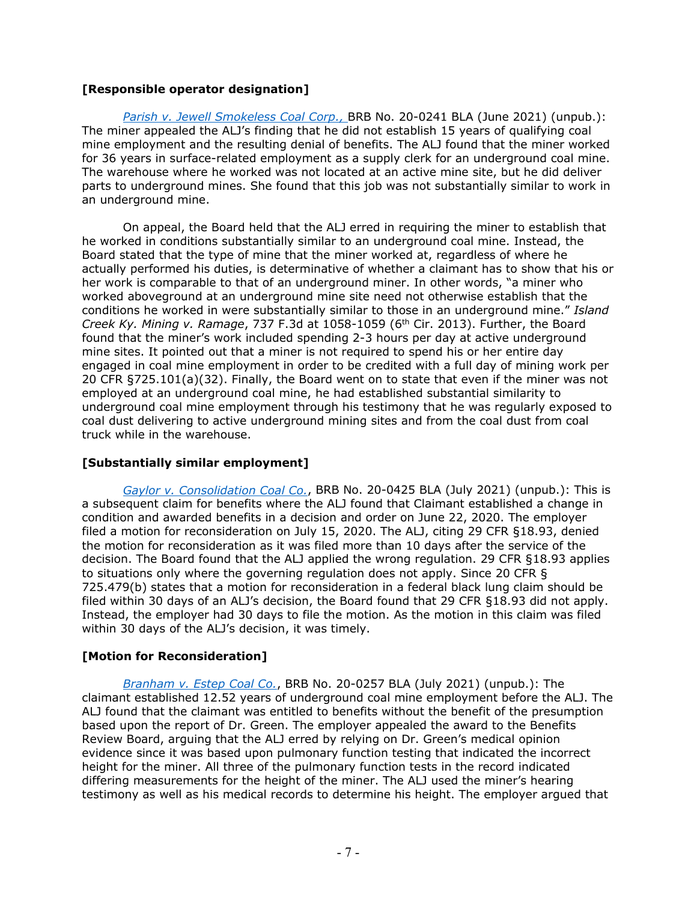# **[Responsible operator designation]**

*Parish v. [Jewell Smokeless Coal Corp.,](https://www.dol.gov/sites/dolgov/files/BRB/decisions/blklung/unpublished/Jun21/20-0241.pdf)* BRB No. 20-0241 BLA (June 2021) (unpub.): The miner appealed the ALJ's finding that he did not establish 15 years of qualifying coal mine employment and the resulting denial of benefits. The ALJ found that the miner worked for 36 years in surface-related employment as a supply clerk for an underground coal mine. The warehouse where he worked was not located at an active mine site, but he did deliver parts to underground mines. She found that this job was not substantially similar to work in an underground mine.

On appeal, the Board held that the ALJ erred in requiring the miner to establish that he worked in conditions substantially similar to an underground coal mine. Instead, the Board stated that the type of mine that the miner worked at, regardless of where he actually performed his duties, is determinative of whether a claimant has to show that his or her work is comparable to that of an underground miner. In other words, "a miner who worked aboveground at an underground mine site need not otherwise establish that the conditions he worked in were substantially similar to those in an underground mine." *Island Creek Ky. Mining v. Ramage, 737 F.3d at 1058-1059 (6<sup>th</sup> Cir. 2013). Further, the Board* found that the miner's work included spending 2-3 hours per day at active underground mine sites. It pointed out that a miner is not required to spend his or her entire day engaged in coal mine employment in order to be credited with a full day of mining work per 20 CFR §725.101(a)(32). Finally, the Board went on to state that even if the miner was not employed at an underground coal mine, he had established substantial similarity to underground coal mine employment through his testimony that he was regularly exposed to coal dust delivering to active underground mining sites and from the coal dust from coal truck while in the warehouse.

## **[Substantially similar employment]**

*[Gaylor v. Consolidation Coal Co.](https://www.dol.gov/sites/dolgov/files/BRB/decisions/blklung/unpublished/Jul21/20-0425.pdf)*, BRB No. 20-0425 BLA (July 2021) (unpub.): This is a subsequent claim for benefits where the ALJ found that Claimant established a change in condition and awarded benefits in a decision and order on June 22, 2020. The employer filed a motion for reconsideration on July 15, 2020. The ALJ, citing 29 CFR §18.93, denied the motion for reconsideration as it was filed more than 10 days after the service of the decision. The Board found that the ALJ applied the wrong regulation. 29 CFR §18.93 applies to situations only where the governing regulation does not apply. Since 20 CFR § 725.479(b) states that a motion for reconsideration in a federal black lung claim should be filed within 30 days of an ALJ's decision, the Board found that 29 CFR §18.93 did not apply. Instead, the employer had 30 days to file the motion. As the motion in this claim was filed within 30 days of the ALJ's decision, it was timely.

# **[Motion for Reconsideration]**

*[Branham v. Estep Coal Co.](https://www.dol.gov/sites/dolgov/files/BRB/decisions/blklung/unpublished/Jul21/20-0257.pdf)*, BRB No. 20-0257 BLA (July 2021) (unpub.): The claimant established 12.52 years of underground coal mine employment before the ALJ. The ALJ found that the claimant was entitled to benefits without the benefit of the presumption based upon the report of Dr. Green. The employer appealed the award to the Benefits Review Board, arguing that the ALJ erred by relying on Dr. Green's medical opinion evidence since it was based upon pulmonary function testing that indicated the incorrect height for the miner. All three of the pulmonary function tests in the record indicated differing measurements for the height of the miner. The ALJ used the miner's hearing testimony as well as his medical records to determine his height. The employer argued that